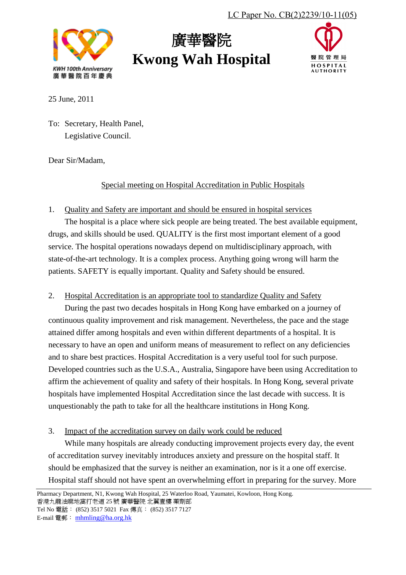

# 廣華醫院 **Kwong Wah Hospital**



25 June, 2011

To: Secretary, Health Panel, Legislative Council.

Dear Sir/Madam,

## Special meeting on Hospital Accreditation in Public Hospitals

## 1. Quality and Safety are important and should be ensured in hospital services

The hospital is a place where sick people are being treated. The best available equipment, drugs, and skills should be used. QUALITY is the first most important element of a good service. The hospital operations nowadays depend on multidisciplinary approach, with state-of-the-art technology. It is a complex process. Anything going wrong will harm the patients. SAFETY is equally important. Quality and Safety should be ensured.

2. Hospital Accreditation is an appropriate tool to standardize Quality and Safety

During the past two decades hospitals in Hong Kong have embarked on a journey of continuous quality improvement and risk management. Nevertheless, the pace and the stage attained differ among hospitals and even within different departments of a hospital. It is necessary to have an open and uniform means of measurement to reflect on any deficiencies and to share best practices. Hospital Accreditation is a very useful tool for such purpose. Developed countries such as the U.S.A., Australia, Singapore have been using Accreditation to affirm the achievement of quality and safety of their hospitals. In Hong Kong, several private hospitals have implemented Hospital Accreditation since the last decade with success. It is unquestionably the path to take for all the healthcare institutions in Hong Kong.

## 3. Impact of the accreditation survey on daily work could be reduced

While many hospitals are already conducting improvement projects every day, the event of accreditation survey inevitably introduces anxiety and pressure on the hospital staff. It should be emphasized that the survey is neither an examination, nor is it a one off exercise. Hospital staff should not have spent an overwhelming effort in preparing for the survey. More